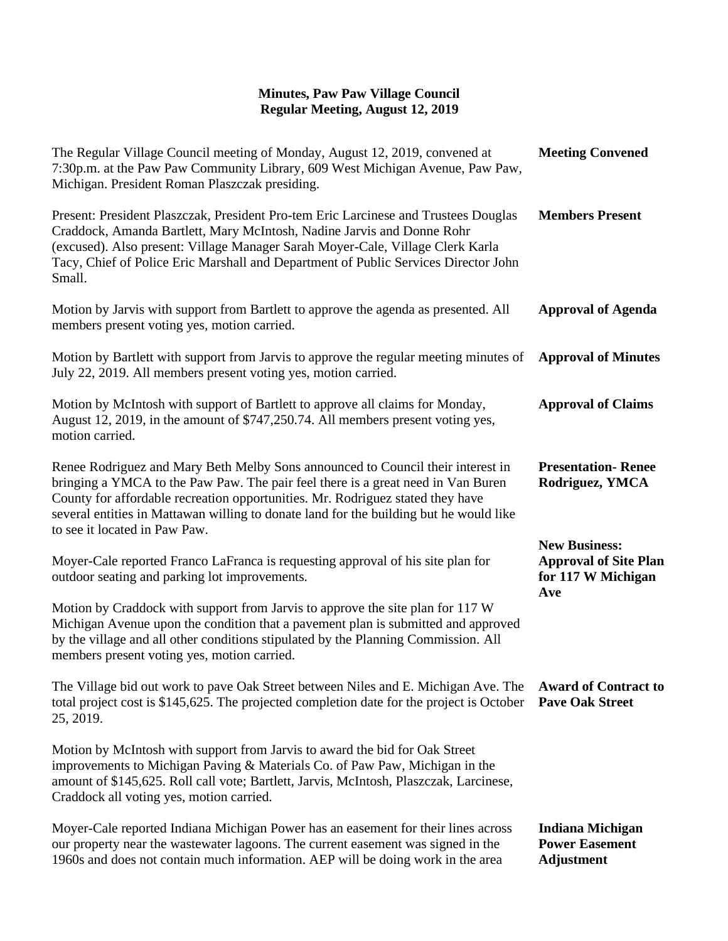## **Minutes, Paw Paw Village Council Regular Meeting, August 12, 2019**

| The Regular Village Council meeting of Monday, August 12, 2019, convened at<br>7:30p.m. at the Paw Paw Community Library, 609 West Michigan Avenue, Paw Paw,<br>Michigan. President Roman Plaszczak presiding.                                                                                                                                                                   | <b>Meeting Convened</b>                                                           |
|----------------------------------------------------------------------------------------------------------------------------------------------------------------------------------------------------------------------------------------------------------------------------------------------------------------------------------------------------------------------------------|-----------------------------------------------------------------------------------|
| Present: President Plaszczak, President Pro-tem Eric Larcinese and Trustees Douglas<br>Craddock, Amanda Bartlett, Mary McIntosh, Nadine Jarvis and Donne Rohr<br>(excused). Also present: Village Manager Sarah Moyer-Cale, Village Clerk Karla<br>Tacy, Chief of Police Eric Marshall and Department of Public Services Director John<br>Small.                                 | <b>Members Present</b>                                                            |
| Motion by Jarvis with support from Bartlett to approve the agenda as presented. All<br>members present voting yes, motion carried.                                                                                                                                                                                                                                               | <b>Approval of Agenda</b>                                                         |
| Motion by Bartlett with support from Jarvis to approve the regular meeting minutes of<br>July 22, 2019. All members present voting yes, motion carried.                                                                                                                                                                                                                          | <b>Approval of Minutes</b>                                                        |
| Motion by McIntosh with support of Bartlett to approve all claims for Monday,<br>August 12, 2019, in the amount of \$747,250.74. All members present voting yes,<br>motion carried.                                                                                                                                                                                              | <b>Approval of Claims</b>                                                         |
| Renee Rodriguez and Mary Beth Melby Sons announced to Council their interest in<br>bringing a YMCA to the Paw Paw. The pair feel there is a great need in Van Buren<br>County for affordable recreation opportunities. Mr. Rodriguez stated they have<br>several entities in Mattawan willing to donate land for the building but he would like<br>to see it located in Paw Paw. | <b>Presentation-Renee</b><br>Rodriguez, YMCA                                      |
| Moyer-Cale reported Franco LaFranca is requesting approval of his site plan for<br>outdoor seating and parking lot improvements.                                                                                                                                                                                                                                                 | <b>New Business:</b><br><b>Approval of Site Plan</b><br>for 117 W Michigan<br>Ave |
| Motion by Craddock with support from Jarvis to approve the site plan for 117 W<br>Michigan Avenue upon the condition that a pavement plan is submitted and approved<br>by the village and all other conditions stipulated by the Planning Commission. All<br>members present voting yes, motion carried.                                                                         |                                                                                   |
| The Village bid out work to pave Oak Street between Niles and E. Michigan Ave. The<br>total project cost is \$145,625. The projected completion date for the project is October<br>25, 2019.                                                                                                                                                                                     | <b>Award of Contract to</b><br><b>Pave Oak Street</b>                             |
| Motion by McIntosh with support from Jarvis to award the bid for Oak Street<br>improvements to Michigan Paving & Materials Co. of Paw Paw, Michigan in the<br>amount of \$145,625. Roll call vote; Bartlett, Jarvis, McIntosh, Plaszczak, Larcinese,<br>Craddock all voting yes, motion carried.                                                                                 |                                                                                   |
| Moyer-Cale reported Indiana Michigan Power has an easement for their lines across<br>our property near the wastewater lagoons. The current easement was signed in the<br>1960s and does not contain much information. AEP will be doing work in the area                                                                                                                         | <b>Indiana Michigan</b><br><b>Power Easement</b><br><b>Adjustment</b>             |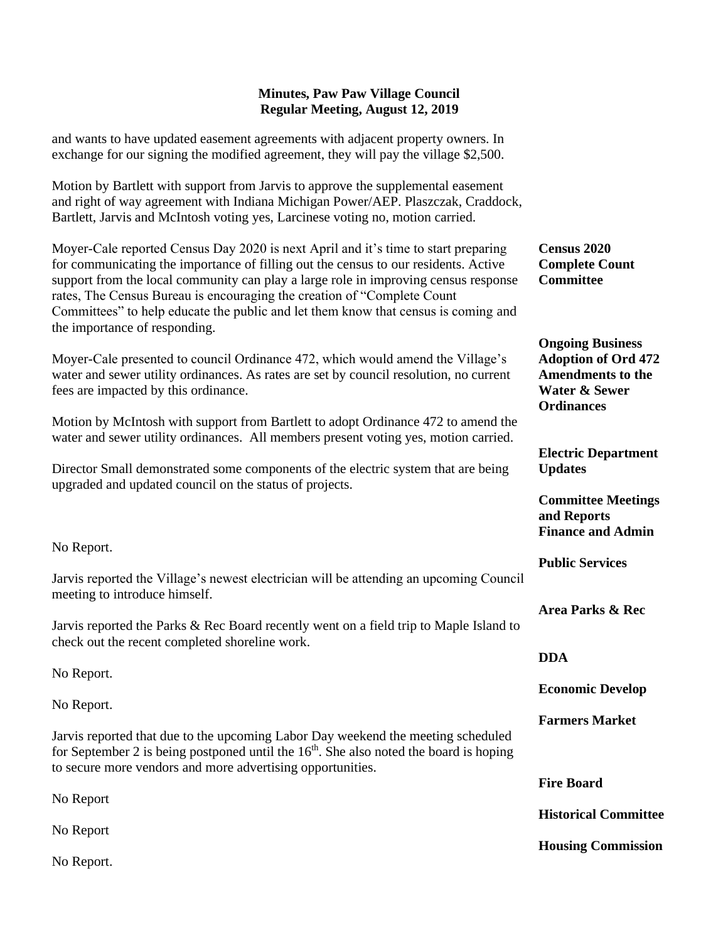## **Minutes, Paw Paw Village Council Regular Meeting, August 12, 2019**

and wants to have updated easement agreements with adjacent property owners. In exchange for our signing the modified agreement, they will pay the village \$2,500.

Motion by Bartlett with support from Jarvis to approve the supplemental easement and right of way agreement with Indiana Michigan Power/AEP. Plaszczak, Craddock, Bartlett, Jarvis and McIntosh voting yes, Larcinese voting no, motion carried.

Moyer-Cale reported Census Day 2020 is next April and it's time to start preparing for communicating the importance of filling out the census to our residents. Active support from the local community can play a large role in improving census response rates, The Census Bureau is encouraging the creation of "Complete Count Committees" to help educate the public and let them know that census is coming and the importance of responding.

Moyer-Cale presented to council Ordinance 472, which would amend the Village's water and sewer utility ordinances. As rates are set by council resolution, no current fees are impacted by this ordinance.

Motion by McIntosh with support from Bartlett to adopt Ordinance 472 to amend the water and sewer utility ordinances. All members present voting yes, motion carried.

Director Small demonstrated some components of the electric system that are being upgraded and updated council on the status of projects.

No Report.

Jarvis reported the Village's newest electrician will be attending an upcoming Council meeting to introduce himself.

Jarvis reported the Parks & Rec Board recently went on a field trip to Maple Island to check out the recent completed shoreline work.

No Report.

No Report.

Jarvis reported that due to the upcoming Labor Day weekend the meeting scheduled for September 2 is being postponed until the  $16<sup>th</sup>$ . She also noted the board is hoping to secure more vendors and more advertising opportunities.

No Report

No Report

No Report.

**Census 2020 Complete Count Committee**

**Ongoing Business Adoption of Ord 472 Amendments to the Water & Sewer Ordinances**

**Electric Department Updates**

**Committee Meetings and Reports Finance and Admin**

**Public Services** 

**Area Parks & Rec**

**DDA**

**Economic Develop** 

**Farmers Market**

**Fire Board**

**Historical Committee**

**Housing Commission**